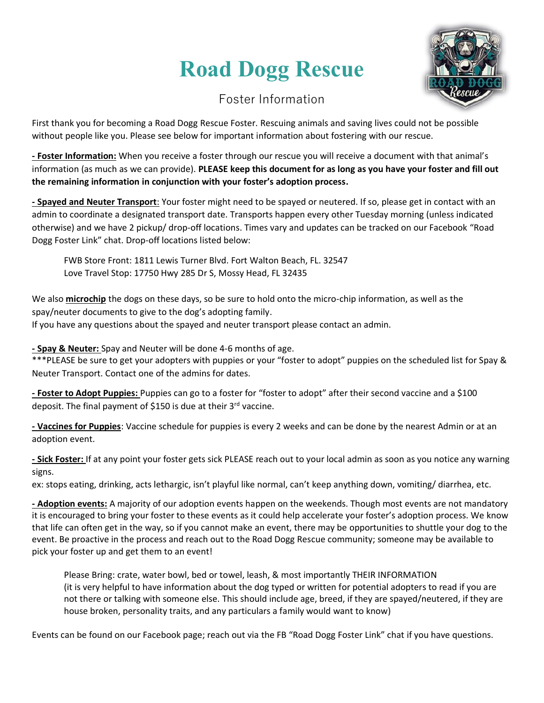### **Road Dogg Rescue**



### Foster Information

First thank you for becoming a Road Dogg Rescue Foster. Rescuing animals and saving lives could not be possible without people like you. Please see below for important information about fostering with our rescue.

**- Foster Information:** When you receive a foster through our rescue you will receive a document with that animal's information (as much as we can provide). **PLEASE keep this document for as long as you have your foster and fill out the remaining information in conjunction with your foster's adoption process.**

**- Spayed and Neuter Transport**: Your foster might need to be spayed or neutered. If so, please get in contact with an admin to coordinate a designated transport date. Transports happen every other Tuesday morning (unless indicated otherwise) and we have 2 pickup/ drop-off locations. Times vary and updates can be tracked on our Facebook "Road Dogg Foster Link" chat. Drop-off locations listed below:

FWB Store Front: 1811 Lewis Turner Blvd. Fort Walton Beach, FL. 32547 Love Travel Stop: 17750 Hwy 285 Dr S, Mossy Head, FL 32435

We also **microchip** the dogs on these days, so be sure to hold onto the micro-chip information, as well as the spay/neuter documents to give to the dog's adopting family. If you have any questions about the spayed and neuter transport please contact an admin.

**- Spay & Neuter:** Spay and Neuter will be done 4-6 months of age.

\*\*\*PLEASE be sure to get your adopters with puppies or your "foster to adopt" puppies on the scheduled list for Spay & Neuter Transport. Contact one of the admins for dates.

**- Foster to Adopt Puppies:** Puppies can go to a foster for "foster to adopt" after their second vaccine and a \$100 deposit. The final payment of \$150 is due at their  $3^{rd}$  vaccine.

**- Vaccines for Puppies**: Vaccine schedule for puppies is every 2 weeks and can be done by the nearest Admin or at an adoption event.

**- Sick Foster:** If at any point your foster gets sick PLEASE reach out to your local admin as soon as you notice any warning signs.

ex: stops eating, drinking, acts lethargic, isn't playful like normal, can't keep anything down, vomiting/ diarrhea, etc.

**- Adoption events:** A majority of our adoption events happen on the weekends. Though most events are not mandatory it is encouraged to bring your foster to these events as it could help accelerate your foster's adoption process. We know that life can often get in the way, so if you cannot make an event, there may be opportunities to shuttle your dog to the event. Be proactive in the process and reach out to the Road Dogg Rescue community; someone may be available to pick your foster up and get them to an event!

Please Bring: crate, water bowl, bed or towel, leash, & most importantly THEIR INFORMATION (it is very helpful to have information about the dog typed or written for potential adopters to read if you are not there or talking with someone else. This should include age, breed, if they are spayed/neutered, if they are house broken, personality traits, and any particulars a family would want to know)

Events can be found on our Facebook page; reach out via the FB "Road Dogg Foster Link" chat if you have questions.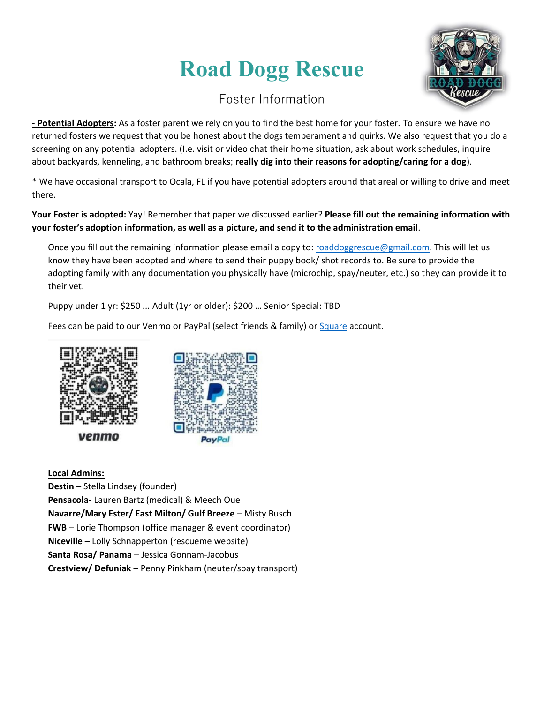## **Road Dogg Rescue**



### Foster Information

**- Potential Adopters:** As a foster parent we rely on you to find the best home for your foster. To ensure we have no returned fosters we request that you be honest about the dogs temperament and quirks. We also request that you do a screening on any potential adopters. (I.e. visit or video chat their home situation, ask about work schedules, inquire about backyards, kenneling, and bathroom breaks; **really dig into their reasons for adopting/caring for a dog**).

\* We have occasional transport to Ocala, FL if you have potential adopters around that areal or willing to drive and meet there.

**Your Foster is adopted:** Yay! Remember that paper we discussed earlier? **Please fill out the remaining information with your foster's adoption information, as well as a picture, and send it to the administration email**.

Once you fill out the remaining information please email a copy to[: roaddoggrescue@gmail.com.](mailto:roaddoggrescue@gmail.com) This will let us know they have been adopted and where to send their puppy book/ shot records to. Be sure to provide the adopting family with any documentation you physically have (microchip, spay/neuter, etc.) so they can provide it to their vet.

Puppy under 1 yr: \$250 ... Adult (1yr or older): \$200 … Senior Special: TBD

Fees can be paid to our Venmo or PayPal (select friends & family) or [Square](mailto:https://www.roaddoggrescue.com/make-a-donation) account.



venmo



**Local Admins:** 

**Destin** – Stella Lindsey (founder) **Pensacola-** Lauren Bartz (medical) & Meech Oue **Navarre/Mary Ester/ East Milton/ Gulf Breeze** – Misty Busch **FWB** – Lorie Thompson (office manager & event coordinator) **Niceville** – Lolly Schnapperton (rescueme website) **Santa Rosa/ Panama** – Jessica Gonnam-Jacobus **Crestview/ Defuniak** – Penny Pinkham (neuter/spay transport)